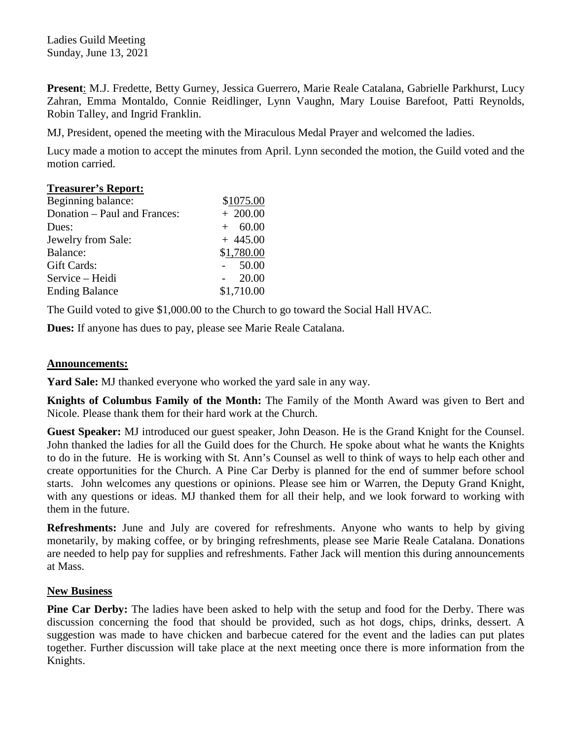Ladies Guild Meeting Sunday, June 13, 2021

**Present**: M.J. Fredette, Betty Gurney, Jessica Guerrero, Marie Reale Catalana, Gabrielle Parkhurst, Lucy Zahran, Emma Montaldo, Connie Reidlinger, Lynn Vaughn, Mary Louise Barefoot, Patti Reynolds, Robin Talley, and Ingrid Franklin.

MJ, President, opened the meeting with the Miraculous Medal Prayer and welcomed the ladies.

Lucy made a motion to accept the minutes from April. Lynn seconded the motion, the Guild voted and the motion carried.

### **Treasurer's Report:**

| Beginning balance:           | \$1075.00  |
|------------------------------|------------|
| Donation – Paul and Frances: | $+200.00$  |
| Dues:                        | $+ 60.00$  |
| Jewelry from Sale:           | $+445.00$  |
| Balance:                     | \$1,780.00 |
| Gift Cards:                  | 50.00      |
| Service – Heidi              | 20.00      |
| <b>Ending Balance</b>        | \$1,710.00 |

The Guild voted to give \$1,000.00 to the Church to go toward the Social Hall HVAC.

**Dues:** If anyone has dues to pay, please see Marie Reale Catalana.

#### **Announcements:**

**Yard Sale:** MJ thanked everyone who worked the yard sale in any way.

**Knights of Columbus Family of the Month:** The Family of the Month Award was given to Bert and Nicole. Please thank them for their hard work at the Church.

**Guest Speaker:** MJ introduced our guest speaker, John Deason. He is the Grand Knight for the Counsel. John thanked the ladies for all the Guild does for the Church. He spoke about what he wants the Knights to do in the future. He is working with St. Ann's Counsel as well to think of ways to help each other and create opportunities for the Church. A Pine Car Derby is planned for the end of summer before school starts. John welcomes any questions or opinions. Please see him or Warren, the Deputy Grand Knight, with any questions or ideas. MJ thanked them for all their help, and we look forward to working with them in the future.

**Refreshments:** June and July are covered for refreshments. Anyone who wants to help by giving monetarily, by making coffee, or by bringing refreshments, please see Marie Reale Catalana. Donations are needed to help pay for supplies and refreshments. Father Jack will mention this during announcements at Mass.

### **New Business**

**Pine Car Derby:** The ladies have been asked to help with the setup and food for the Derby. There was discussion concerning the food that should be provided, such as hot dogs, chips, drinks, dessert. A suggestion was made to have chicken and barbecue catered for the event and the ladies can put plates together. Further discussion will take place at the next meeting once there is more information from the Knights.